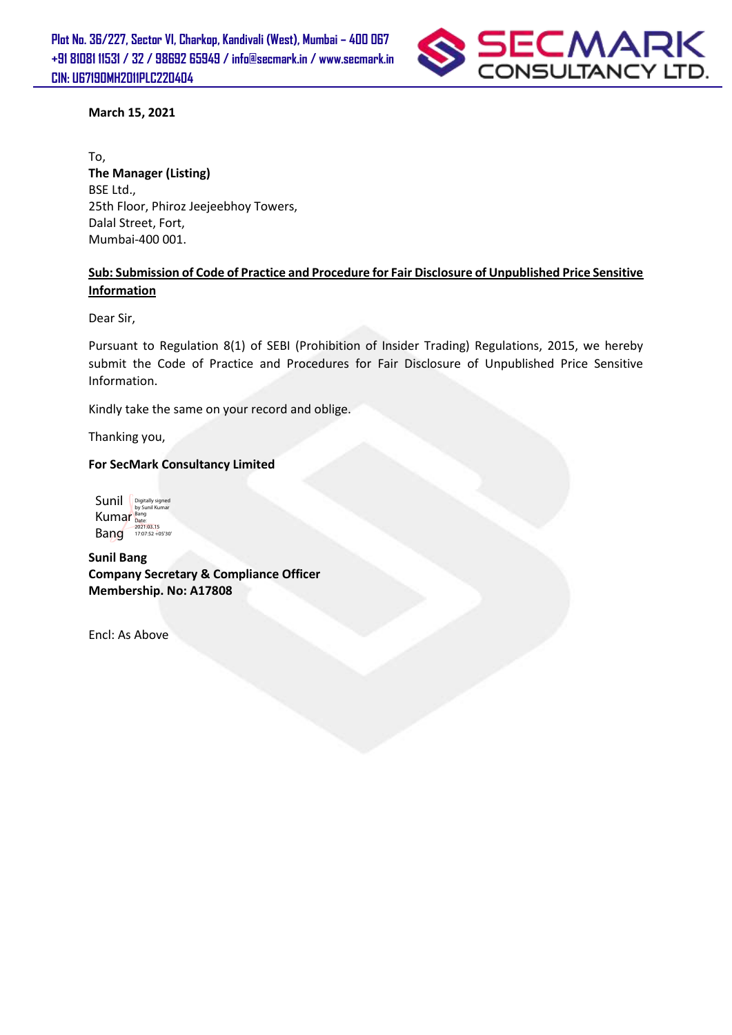

#### **March 15, 2021**

To, **The Manager (Listing)**  BSE Ltd., 25th Floor, Phiroz Jeejeebhoy Towers, Dalal Street, Fort, Mumbai-400 001.

### **Sub: Submission of Code of Practice and Procedure for Fair Disclosure of Unpublished Price Sensitive Information**

Dear Sir,

Pursuant to Regulation 8(1) of SEBI (Prohibition of Insider Trading) Regulations, 2015, we hereby submit the Code of Practice and Procedures for Fair Disclosure of Unpublished Price Sensitive Information.

Kindly take the same on your record and oblige.

Thanking you,

#### **For SecMark Consultancy Limited**

Sunil **Digitally signed** Kumar Bang Rang 17:07:52 +05'30'

**Sunil Bang Company Secretary & Compliance Officer Membership. No: A17808** 

Encl: As Above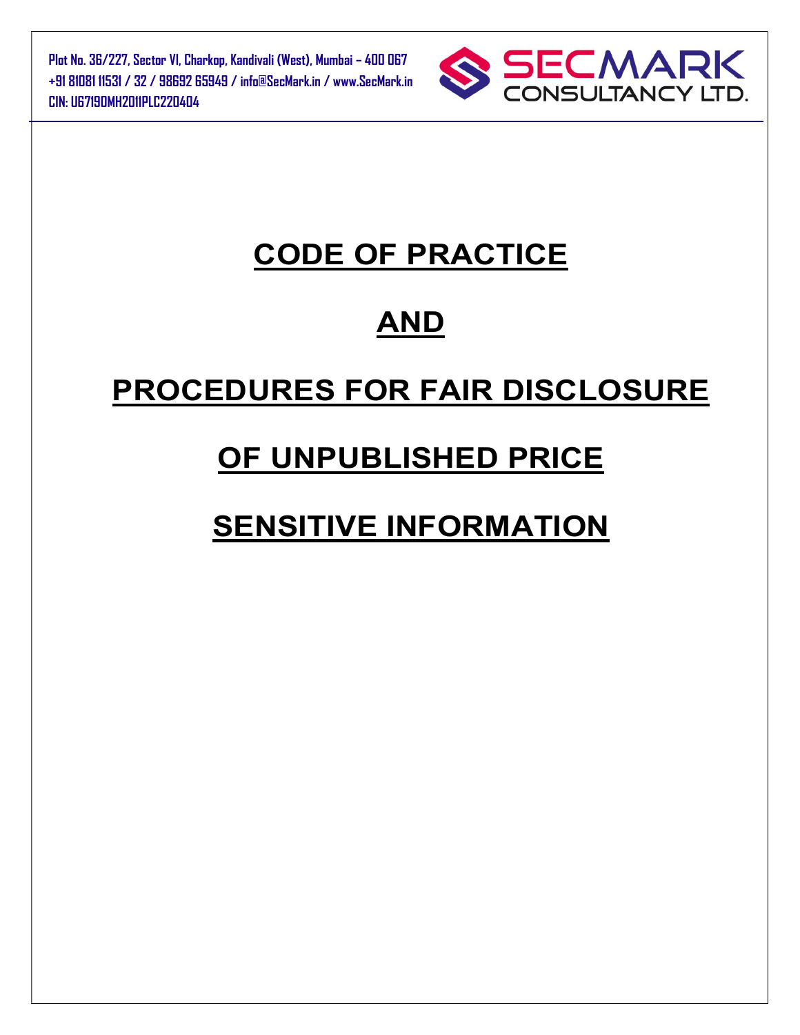Plot No. 36/227, Sector VI, Charkop, Kandivali (West), Mumbai – 400 067 +91 81081 11531 / 32 / 98692 65949 / info@SecMark.in / www.SecMark.in CIN: U67190MH2011PLC220404



## CODE OF PRACTICE

## AND

# PROCEDURES FOR FAIR DISCLOSURE

## OF UNPUBLISHED PRICE

# SENSITIVE INFORMATION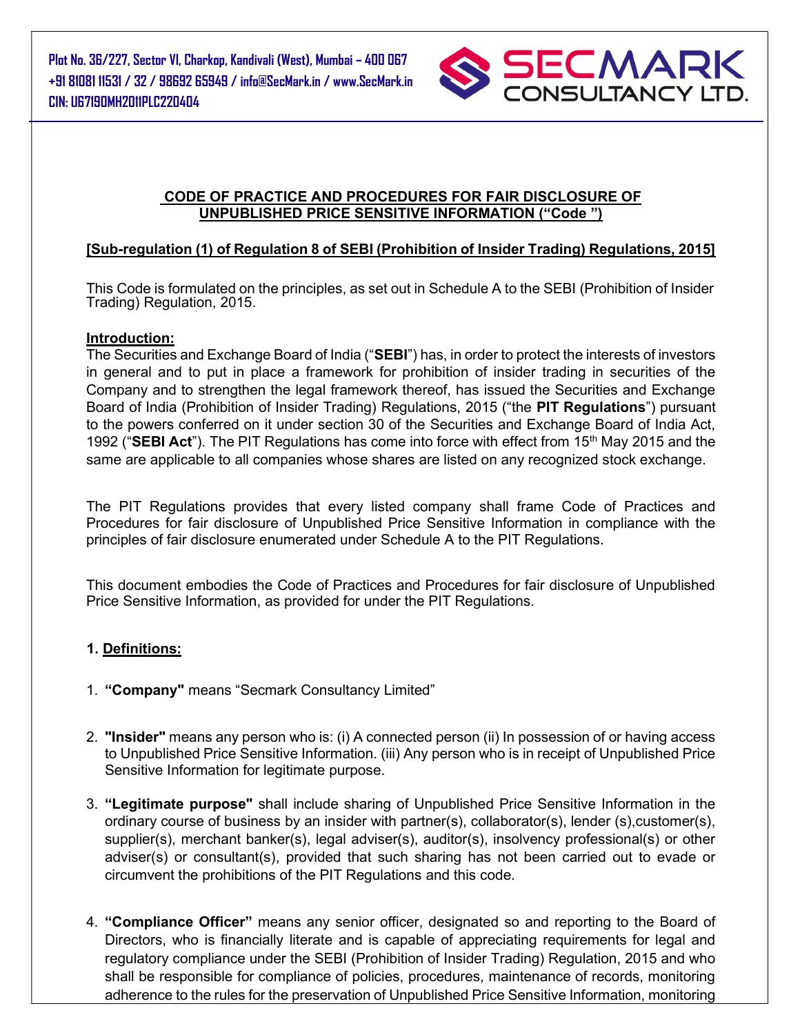

### CODE OF PRACTICE AND PROCEDURES FOR FAIR DISCLOSURE OF UNPUBLISHED PRICE SENSITIVE INFORMATION ("Code ")

### [Sub-regulation (1) of Regulation 8 of SEBI (Prohibition of Insider Trading) Regulations, 2015]

This Code is formulated on the principles, as set out in Schedule A to the SEBI (Prohibition of Insider Trading) Regulation, 2015.

#### Introduction:

The Securities and Exchange Board of India ("SEBI") has, in order to protect the interests of investors in general and to put in place a framework for prohibition of insider trading in securities of the Company and to strengthen the legal framework thereof, has issued the Securities and Exchange Board of India (Prohibition of Insider Trading) Regulations, 2015 ("the PIT Regulations") pursuant to the powers conferred on it under section 30 of the Securities and Exchange Board of India Act, 1992 ("SEBI Act"). The PIT Regulations has come into force with effect from 15<sup>th</sup> May 2015 and the same are applicable to all companies whose shares are listed on any recognized stock exchange.

The PIT Regulations provides that every listed company shall frame Code of Practices and Procedures for fair disclosure of Unpublished Price Sensitive Information in compliance with the principles of fair disclosure enumerated under Schedule A to the PIT Regulations.

This document embodies the Code of Practices and Procedures for fair disclosure of Unpublished Price Sensitive Information, as provided for under the PIT Regulations.

#### 1. Definitions:

- 1. "Company" means "Secmark Consultancy Limited"
- 2. "Insider" means any person who is: (i) A connected person (ii) In possession of or having access to Unpublished Price Sensitive Information. (iii) Any person who is in receipt of Unpublished Price Sensitive Information for legitimate purpose.
- 3. "Legitimate purpose" shall include sharing of Unpublished Price Sensitive Information in the ordinary course of business by an insider with partner(s), collaborator(s), lender (s),customer(s), supplier(s), merchant banker(s), legal adviser(s), auditor(s), insolvency professional(s) or other adviser(s) or consultant(s), provided that such sharing has not been carried out to evade or circumvent the prohibitions of the PIT Regulations and this code.
- 4. "Compliance Officer" means any senior officer, designated so and reporting to the Board of Directors, who is financially literate and is capable of appreciating requirements for legal and regulatory compliance under the SEBI (Prohibition of Insider Trading) Regulation, 2015 and who shall be responsible for compliance of policies, procedures, maintenance of records, monitoring adherence to the rules for the preservation of Unpublished Price Sensitive Information, monitoring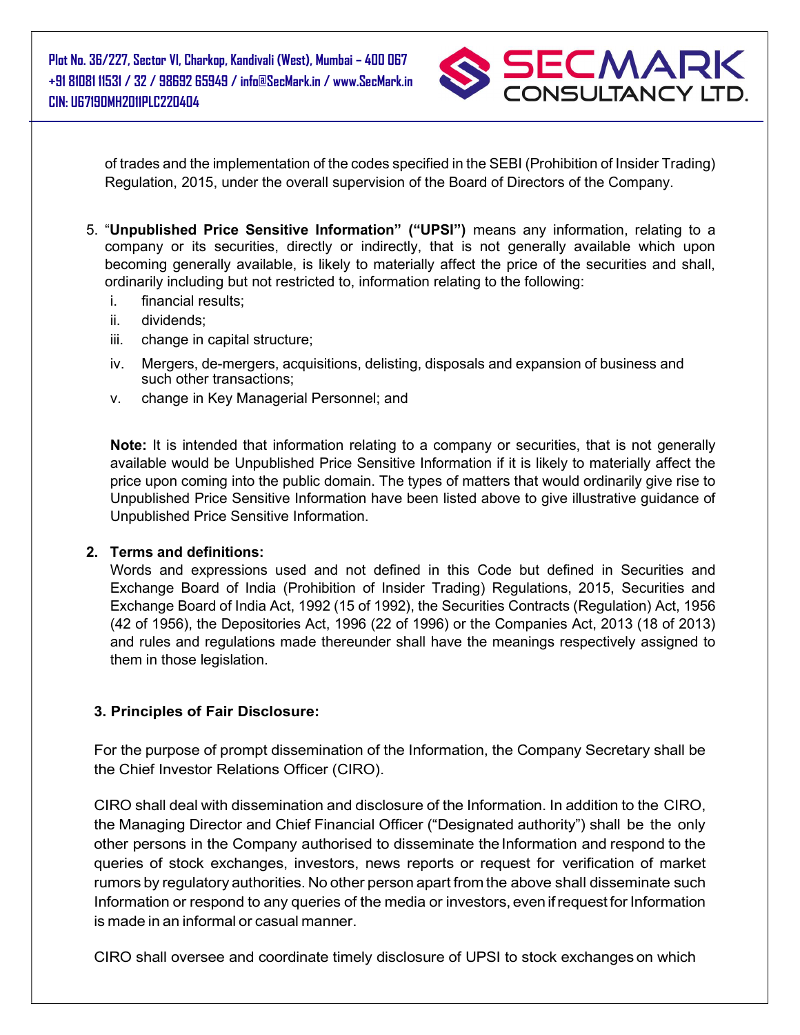Plot No. 36/227, Sector VI, Charkop, Kandivali (West), Mumbai – 400 067 +91 81081 11531 / 32 / 98692 65949 / info@SecMark.in / www.SecMark.in CIN: U67190MH2011PLC220404



of trades and the implementation of the codes specified in the SEBI (Prohibition of Insider Trading) Regulation, 2015, under the overall supervision of the Board of Directors of the Company.

- 5. "Unpublished Price Sensitive Information" ("UPSI") means any information, relating to a company or its securities, directly or indirectly, that is not generally available which upon becoming generally available, is likely to materially affect the price of the securities and shall, ordinarily including but not restricted to, information relating to the following:
	- i. financial results;
	- ii. dividends;
	- iii. change in capital structure;
	- iv. Mergers, de-mergers, acquisitions, delisting, disposals and expansion of business and such other transactions;
	- v. change in Key Managerial Personnel; and

Note: It is intended that information relating to a company or securities, that is not generally available would be Unpublished Price Sensitive Information if it is likely to materially affect the price upon coming into the public domain. The types of matters that would ordinarily give rise to Unpublished Price Sensitive Information have been listed above to give illustrative guidance of Unpublished Price Sensitive Information.

#### 2. Terms and definitions:

Words and expressions used and not defined in this Code but defined in Securities and Exchange Board of India (Prohibition of Insider Trading) Regulations, 2015, Securities and Exchange Board of India Act, 1992 (15 of 1992), the Securities Contracts (Regulation) Act, 1956 (42 of 1956), the Depositories Act, 1996 (22 of 1996) or the Companies Act, 2013 (18 of 2013) and rules and regulations made thereunder shall have the meanings respectively assigned to them in those legislation.

#### 3. Principles of Fair Disclosure:

For the purpose of prompt dissemination of the Information, the Company Secretary shall be the Chief Investor Relations Officer (CIRO).

CIRO shall deal with dissemination and disclosure of the Information. In addition to the CIRO, the Managing Director and Chief Financial Officer ("Designated authority") shall be the only other persons in the Company authorised to disseminate the Information and respond to the queries of stock exchanges, investors, news reports or request for verification of market rumors by regulatory authorities. No other person apart from the above shall disseminate such Information or respond to any queries of the media or investors, even if request for Information is made in an informal or casual manner.

CIRO shall oversee and coordinate timely disclosure of UPSI to stock exchanges on which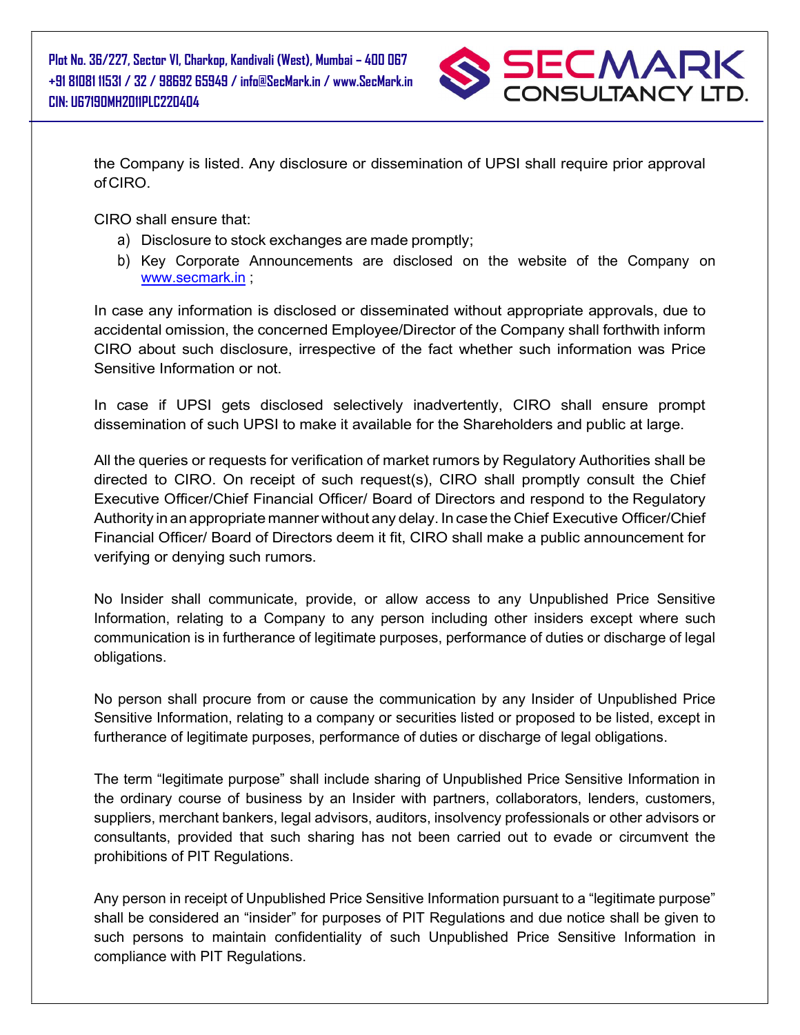

the Company is listed. Any disclosure or dissemination of UPSI shall require prior approval of CIRO.

CIRO shall ensure that:

- a) Disclosure to stock exchanges are made promptly;
- b) Key Corporate Announcements are disclosed on the website of the Company on www.secmark.in ;

In case any information is disclosed or disseminated without appropriate approvals, due to accidental omission, the concerned Employee/Director of the Company shall forthwith inform CIRO about such disclosure, irrespective of the fact whether such information was Price Sensitive Information or not.

In case if UPSI gets disclosed selectively inadvertently, CIRO shall ensure prompt dissemination of such UPSI to make it available for the Shareholders and public at large.

All the queries or requests for verification of market rumors by Regulatory Authorities shall be directed to CIRO. On receipt of such request(s), CIRO shall promptly consult the Chief Executive Officer/Chief Financial Officer/ Board of Directors and respond to the Regulatory Authority in an appropriate manner without any delay. In case the Chief Executive Officer/Chief Financial Officer/ Board of Directors deem it fit, CIRO shall make a public announcement for verifying or denying such rumors.

No Insider shall communicate, provide, or allow access to any Unpublished Price Sensitive Information, relating to a Company to any person including other insiders except where such communication is in furtherance of legitimate purposes, performance of duties or discharge of legal obligations.

No person shall procure from or cause the communication by any Insider of Unpublished Price Sensitive Information, relating to a company or securities listed or proposed to be listed, except in furtherance of legitimate purposes, performance of duties or discharge of legal obligations.

The term "legitimate purpose" shall include sharing of Unpublished Price Sensitive Information in the ordinary course of business by an Insider with partners, collaborators, lenders, customers, suppliers, merchant bankers, legal advisors, auditors, insolvency professionals or other advisors or consultants, provided that such sharing has not been carried out to evade or circumvent the prohibitions of PIT Regulations.

Any person in receipt of Unpublished Price Sensitive Information pursuant to a "legitimate purpose" shall be considered an "insider" for purposes of PIT Regulations and due notice shall be given to such persons to maintain confidentiality of such Unpublished Price Sensitive Information in compliance with PIT Regulations.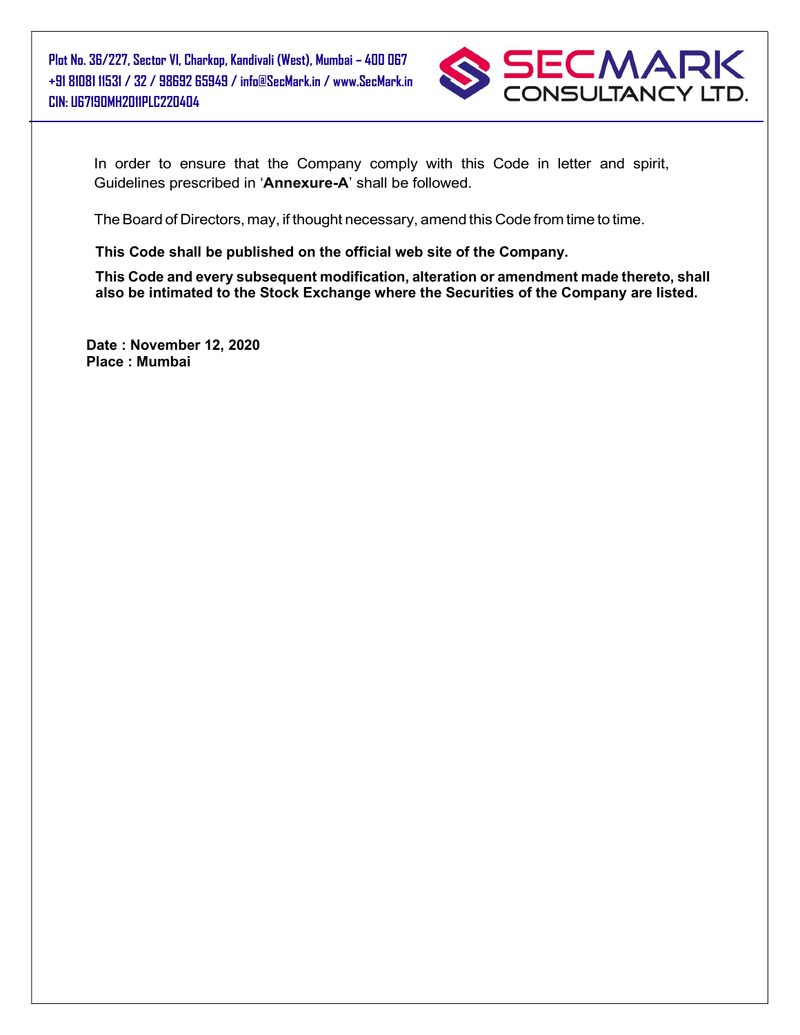

In order to ensure that the Company comply with this Code in letter and spirit, Guidelines prescribed in 'Annexure-A' shall be followed.

The Board of Directors, may, if thought necessary, amend this Code from time to time.

This Code shall be published on the official web site of the Company.

This Code and every subsequent modification, alteration or amendment made thereto, shall also be intimated to the Stock Exchange where the Securities of the Company are listed.

Date : November 12, 2020 Place : Mumbai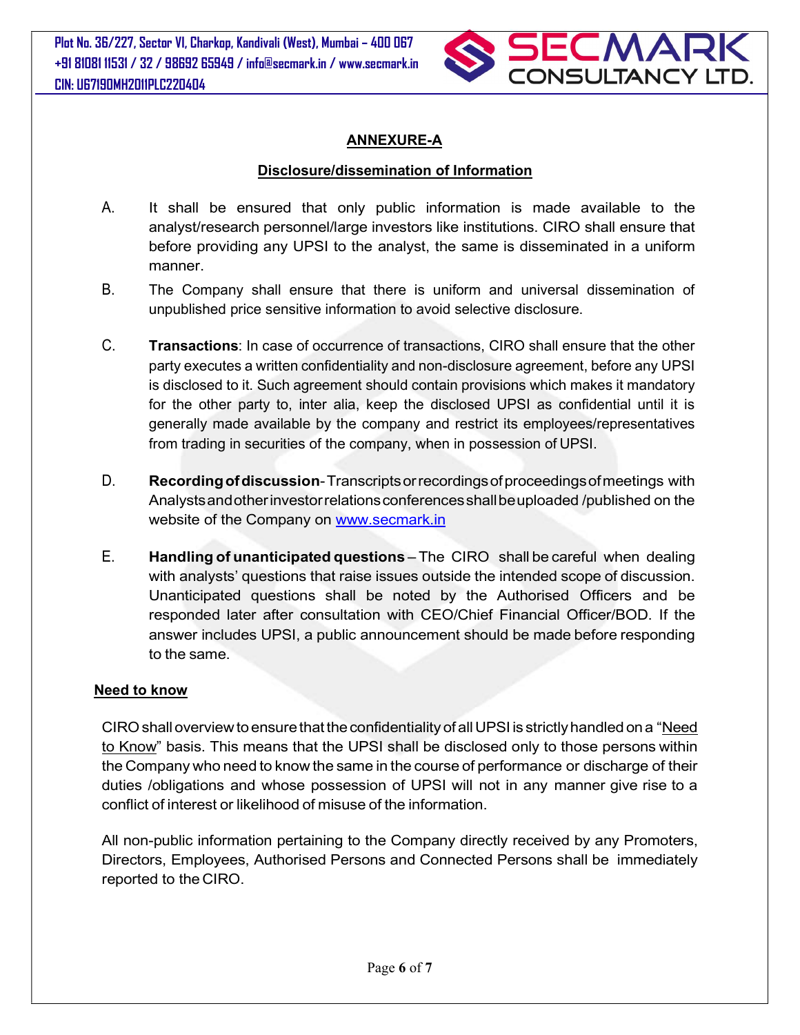Plot No. 36/227, Sector VI, Charkop, Kandivali (West), Mumbai – 400 067 +91 81081 11531 / 32 / 98692 65949 / info@secmark.in / www.secmark.in CIN: U67190MH2011PLC220404



## ANNEXURE-A

#### Disclosure/dissemination of Information

- A. It shall be ensured that only public information is made available to the analyst/research personnel/large investors like institutions. CIRO shall ensure that before providing any UPSI to the analyst, the same is disseminated in a uniform manner.
- B. The Company shall ensure that there is uniform and universal dissemination of unpublished price sensitive information to avoid selective disclosure.
- C. Transactions: In case of occurrence of transactions, CIRO shall ensure that the other party executes a written confidentiality and non-disclosure agreement, before any UPSI is disclosed to it. Such agreement should contain provisions which makes it mandatory for the other party to, inter alia, keep the disclosed UPSI as confidential until it is generally made available by the company and restrict its employees/representatives from trading in securities of the company, when in possession of UPSI.
- D. Recording of discussion-Transcripts or recordings of proceedings of meetings with Analysts and other investor relations conferences shall be uploaded /published on the website of the Company on www.secmark.in
- E. Handling of unanticipated questions The CIRO shall be careful when dealing with analysts' questions that raise issues outside the intended scope of discussion. Unanticipated questions shall be noted by the Authorised Officers and be responded later after consultation with CEO/Chief Financial Officer/BOD. If the answer includes UPSI, a public announcement should be made before responding to the same.

#### Need to know

CIRO shall overview to ensure that the confidentiality of all UPSI is strictly handled on a "Need to Know" basis. This means that the UPSI shall be disclosed only to those persons within the Company who need to know the same in the course of performance or discharge of their duties /obligations and whose possession of UPSI will not in any manner give rise to a conflict of interest or likelihood of misuse of the information.

All non-public information pertaining to the Company directly received by any Promoters, Directors, Employees, Authorised Persons and Connected Persons shall be immediately reported to the CIRO.